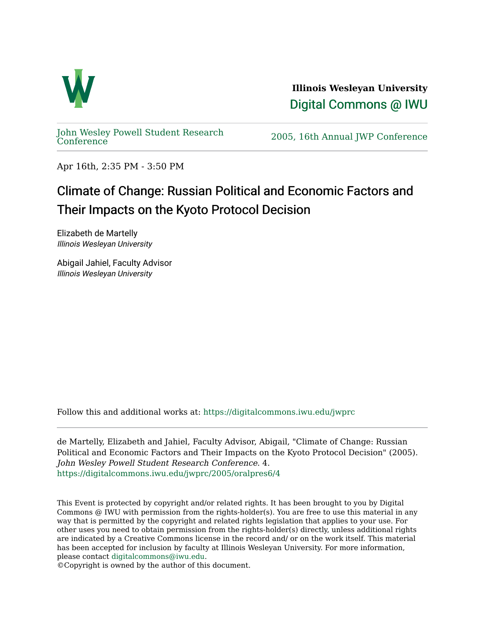

**Illinois Wesleyan University**  [Digital Commons @ IWU](https://digitalcommons.iwu.edu/) 

[John Wesley Powell Student Research](https://digitalcommons.iwu.edu/jwprc) 

2005, 16th Annual JWP [Conference](https://digitalcommons.iwu.edu/jwprc)

Apr 16th, 2:35 PM - 3:50 PM

## Climate of Change: Russian Political and Economic Factors and Their Impacts on the Kyoto Protocol Decision

Elizabeth de Martelly Illinois Wesleyan University

Abigail Jahiel, Faculty Advisor Illinois Wesleyan University

Follow this and additional works at: [https://digitalcommons.iwu.edu/jwprc](https://digitalcommons.iwu.edu/jwprc?utm_source=digitalcommons.iwu.edu%2Fjwprc%2F2005%2Foralpres6%2F4&utm_medium=PDF&utm_campaign=PDFCoverPages) 

de Martelly, Elizabeth and Jahiel, Faculty Advisor, Abigail, "Climate of Change: Russian Political and Economic Factors and Their Impacts on the Kyoto Protocol Decision" (2005). John Wesley Powell Student Research Conference. 4. [https://digitalcommons.iwu.edu/jwprc/2005/oralpres6/4](https://digitalcommons.iwu.edu/jwprc/2005/oralpres6/4?utm_source=digitalcommons.iwu.edu%2Fjwprc%2F2005%2Foralpres6%2F4&utm_medium=PDF&utm_campaign=PDFCoverPages)

This Event is protected by copyright and/or related rights. It has been brought to you by Digital Commons @ IWU with permission from the rights-holder(s). You are free to use this material in any way that is permitted by the copyright and related rights legislation that applies to your use. For other uses you need to obtain permission from the rights-holder(s) directly, unless additional rights are indicated by a Creative Commons license in the record and/ or on the work itself. This material has been accepted for inclusion by faculty at Illinois Wesleyan University. For more information, please contact [digitalcommons@iwu.edu.](mailto:digitalcommons@iwu.edu)

©Copyright is owned by the author of this document.